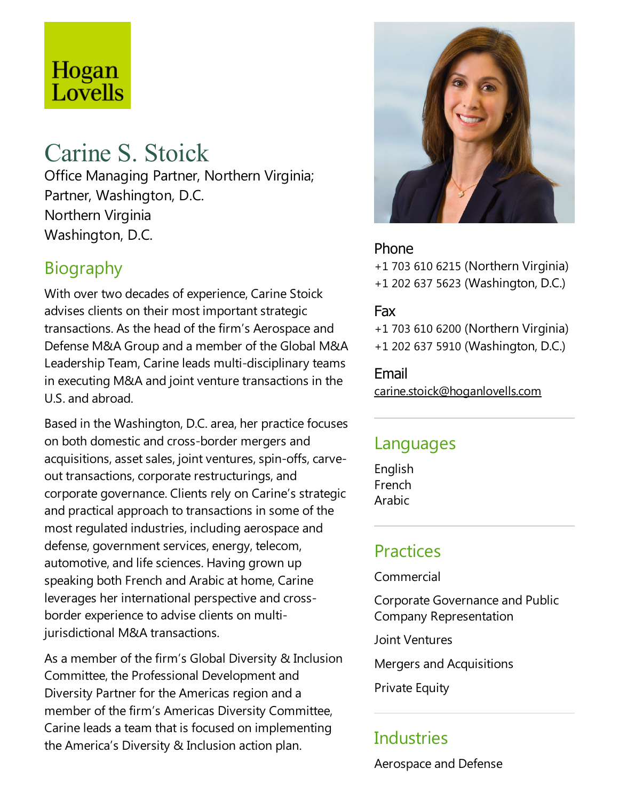# Hogan Lovells

# Carine S. Stoick

Office Managing Partner, Northern Virginia; Partner, Washington, D.C. Northern Virginia Washington, D.C.

# Biography

With over two decades of experience, Carine Stoick advises clients on their most important strategic transactions. As the head of the firm's Aerospace and Defense M&A Group and a member of the Global M&A Leadership Team, Carine leads multi-disciplinary teams in executing M&A and joint venture transactions in the U.S.and abroad.

Based in the Washington, D.C. area, her practice focuses on both domesticand cross-border mergers and acquisitions, asset sales, joint ventures, spin-offs, carveout transactions, corporate restructurings, and corporate governance. Clients rely on Carine's strategic and practical approach to transactions in some of the most regulated industries, including aerospace and defense, government services, energy, telecom, automotive, and life sciences. Having grown up speaking both French and Arabic at home, Carine leverages her international perspective and crossborder experience to advise clients on multijurisdictional M&A transactions.

As a member of the firm's Global Diversity & Inclusion Committee, the Professional Development and Diversity Partner for the Americas region and a member of the firm's Americas Diversity Committee, Carine leads a team that is focused on implementing the America's Diversity & Inclusion action plan.



#### Phone

+1 703 610 6215 (Northern Virginia) +1 202 637 5623 (Washington, D.C.)

#### Fax

+1 703 610 6200 (Northern Virginia) +1 202 637 5910 (Washington, D.C.)

Email

carine.stoick@hoganlovells.com

### Languages

English French Arabic

# Practices

Commercial

Corporate Governance and Public Company Representation

Joint Ventures

Mergers and Acquisitions

**Private Equity** 

# Industries

Aerospace and Defense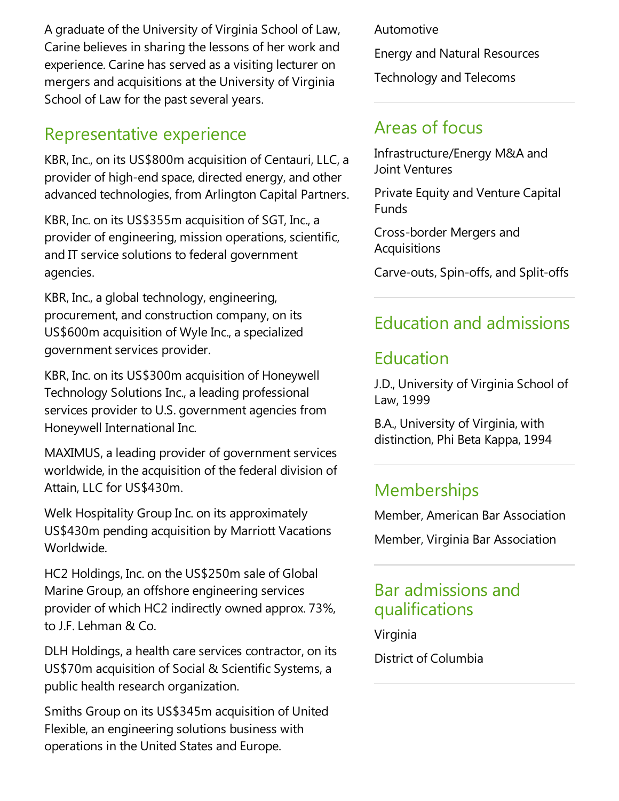A graduate of the University of Virginia School of Law, Carine believes in sharing thelessons of her work and experience. Carine has served as a visiting lecturer on mergers and acquisitions at the University of Virginia School of Law for the past several years.

### Representative experience

KBR, Inc., on its US\$800m acquisition of Centauri, LLC, a provider of high-end space, directed energy, and other advanced technologies, from Arlington Capital Partners.

KBR, Inc. on its US\$355m acquisition of SGT, Inc., a provider of engineering, mission operations, scientific, and IT service solutions to federal government agencies.

KBR, Inc., a global technology, engineering, procurement, and construction company, on its US\$600m acquisition of Wyle Inc., a specialized government services provider.

KBR, Inc. on its US\$300m acquisition of Honeywell Technology Solutions Inc., a leading professional services provider to U.S. government agencies from Honeywell International Inc.

MAXIMUS, a leading provider of government services worldwide, in the acquisition of the federal division of Attain, LLC for US\$430m.

Welk Hospitality Group Inc. on its approximately US\$430m pending acquisition by Marriott Vacations Worldwide.

HC2 Holdings, Inc. on the US\$250m sale of Global Marine Group, an offshore engineering services provider of which HC2 indirectly owned approx. 73%, to J.F. Lehman & Co.

DLH Holdings, a health care services contractor, on its US\$70m acquisition of Social & Scientific Systems, a public health research organization.

Smiths Group on its US\$345m acquisition of United Flexible, an engineering solutions business with operations in the United States and Europe.

Automotive

Energy and Natural Resources

Technology and Telecoms

# Areas of focus

Infrastructure/Energy M&A and Joint Ventures

Private Equity and Venture Capital Funds

Cross-border Mergers and Acquisitions

Carve-outs, Spin-offs,and Split-offs

# Education and admissions

# Education

J.D., University of Virginia School of Law, 1999

B.A., University of Virginia, with distinction, Phi Beta Kappa, 1994

# **Memberships**

Member, American Bar Association

Member, Virginia Bar Association

### Bar admissions and qualifications

Virginia District of Columbia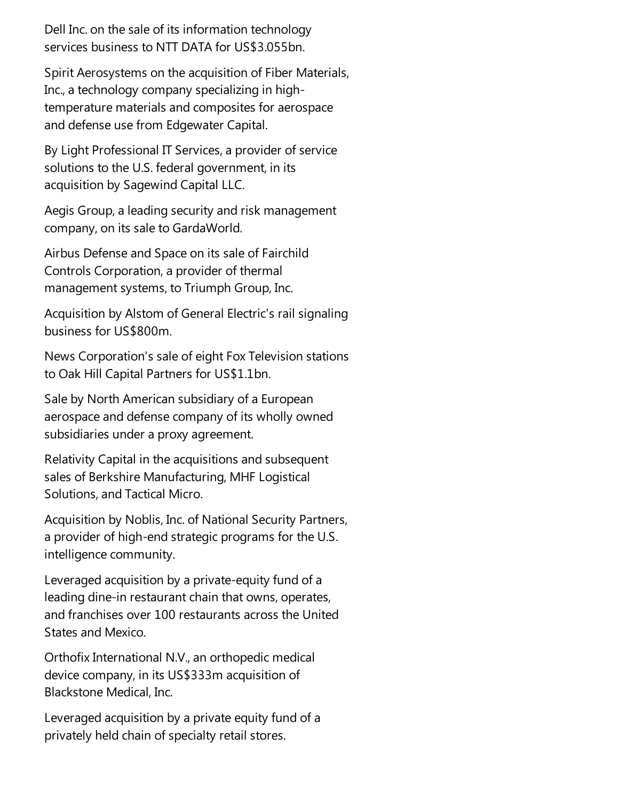Dell Inc. on the sale of its information technology services business to NTT DATA for US\$3.055bn.

Spirit Aerosystems on the acquisition of Fiber Materials, Inc., a technology company specializing in hightemperature materials and composites for aerospace and defense use from Edgewater Capital.

By Light Professional IT Services, a provider of service solutions to the U.S. federal government, in its acquisition by Sagewind Capital LLC.

Aegis Group, a leading security and risk management company, on its sale to GardaWorld.

Airbus Defenseand Space on its sale of Fairchild Controls Corporation,a provider of thermal management systems, to Triumph Group, Inc.

Acquisition by Alstom of General Electric's rail signaling business for US\$800m.

News Corporation's sale of eight Fox Television stations to Oak Hill Capital Partners for US\$1.1bn.

Sale by North American subsidiary of a European aerospace and defense company of its wholly owned subsidiaries under a proxy agreement.

Relativity Capital in the acquisitions and subsequent sales of Berkshire Manufacturing, MHF Logistical Solutions, and Tactical Micro.

Acquisition by Noblis, Inc. of National Security Partners, a provider of high-end strategic programs for the U.S. intelligence community.

Leveraged acquisition by a private-equity fund of a leading dine-in restaurant chain that owns, operates, and franchises over 100 restaurants across the United States and Mexico.

Orthofix International N.V., an orthopedic medical device company, in its US\$333m acquisition of Blackstone Medical, Inc.

Leveraged acquisition by a private equity fund of a privately held chain of specialty retail stores.